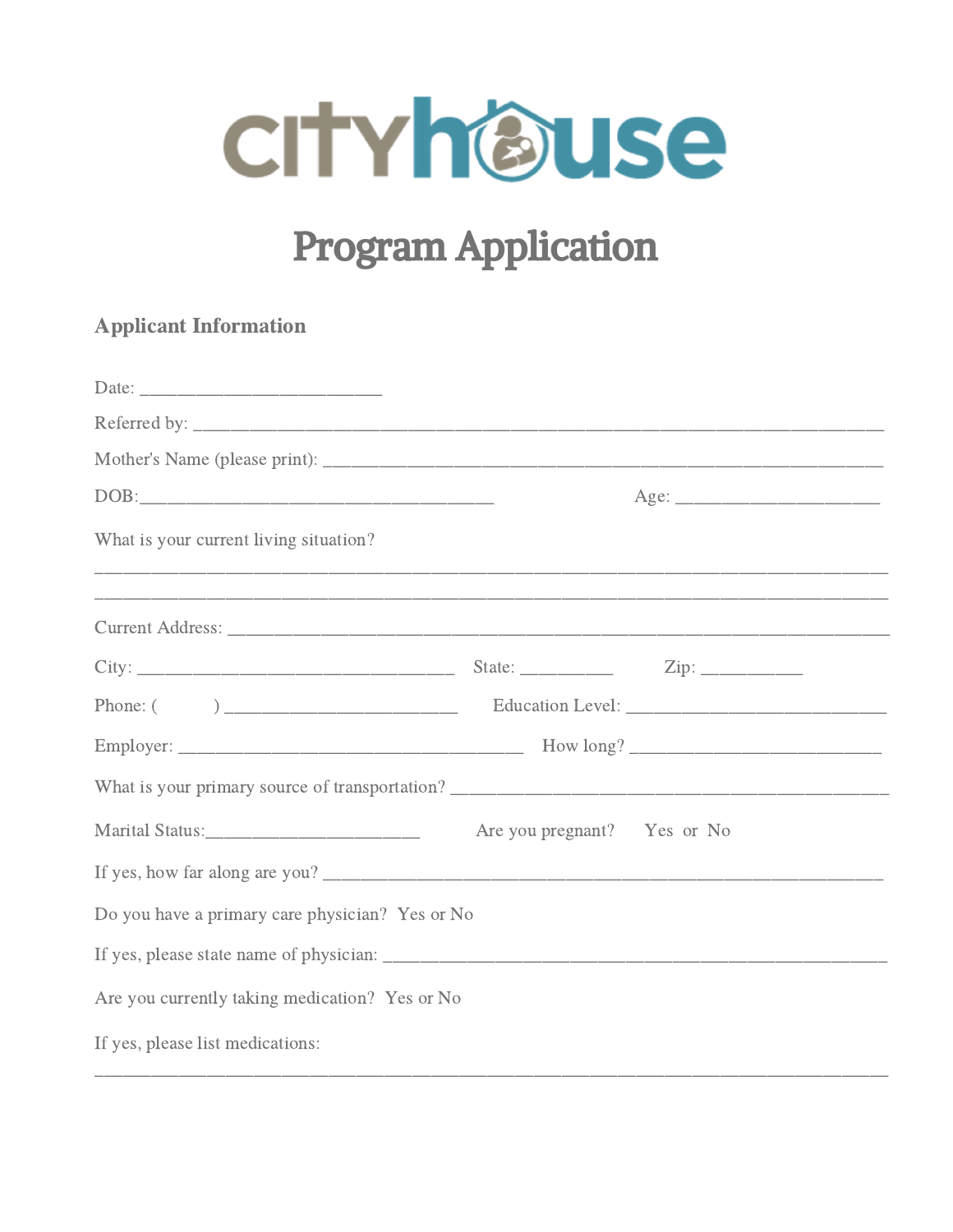

# **Program Application**

## **Applicant Information**

|                                                                                                                             |                             | Age: |  |  |
|-----------------------------------------------------------------------------------------------------------------------------|-----------------------------|------|--|--|
| What is your current living situation?<br>,我们也不能在这里的人,我们也不能在这里的人,我们也不能在这里的人,我们也不能在这里的人,我们也不能在这里的人,我们也不能在这里的人,我们也不能在这里的人,我们也 |                             |      |  |  |
| ,我们也不能在这里的人,我们也不能在这里的人,我们也不能在这里的人,我们也不能在这里的人,我们也不能在这里的人,我们也不能在这里的人,我们也不能在这里的人,我们                                            |                             |      |  |  |
|                                                                                                                             |                             |      |  |  |
|                                                                                                                             |                             |      |  |  |
|                                                                                                                             |                             |      |  |  |
|                                                                                                                             |                             |      |  |  |
|                                                                                                                             | Are you pregnant? Yes or No |      |  |  |
| If yes, how far along are you?                                                                                              |                             |      |  |  |
| Do you have a primary care physician? Yes or No                                                                             |                             |      |  |  |
|                                                                                                                             |                             |      |  |  |
| Are you currently taking medication? Yes or No                                                                              |                             |      |  |  |
| If yes, please list medications:                                                                                            |                             |      |  |  |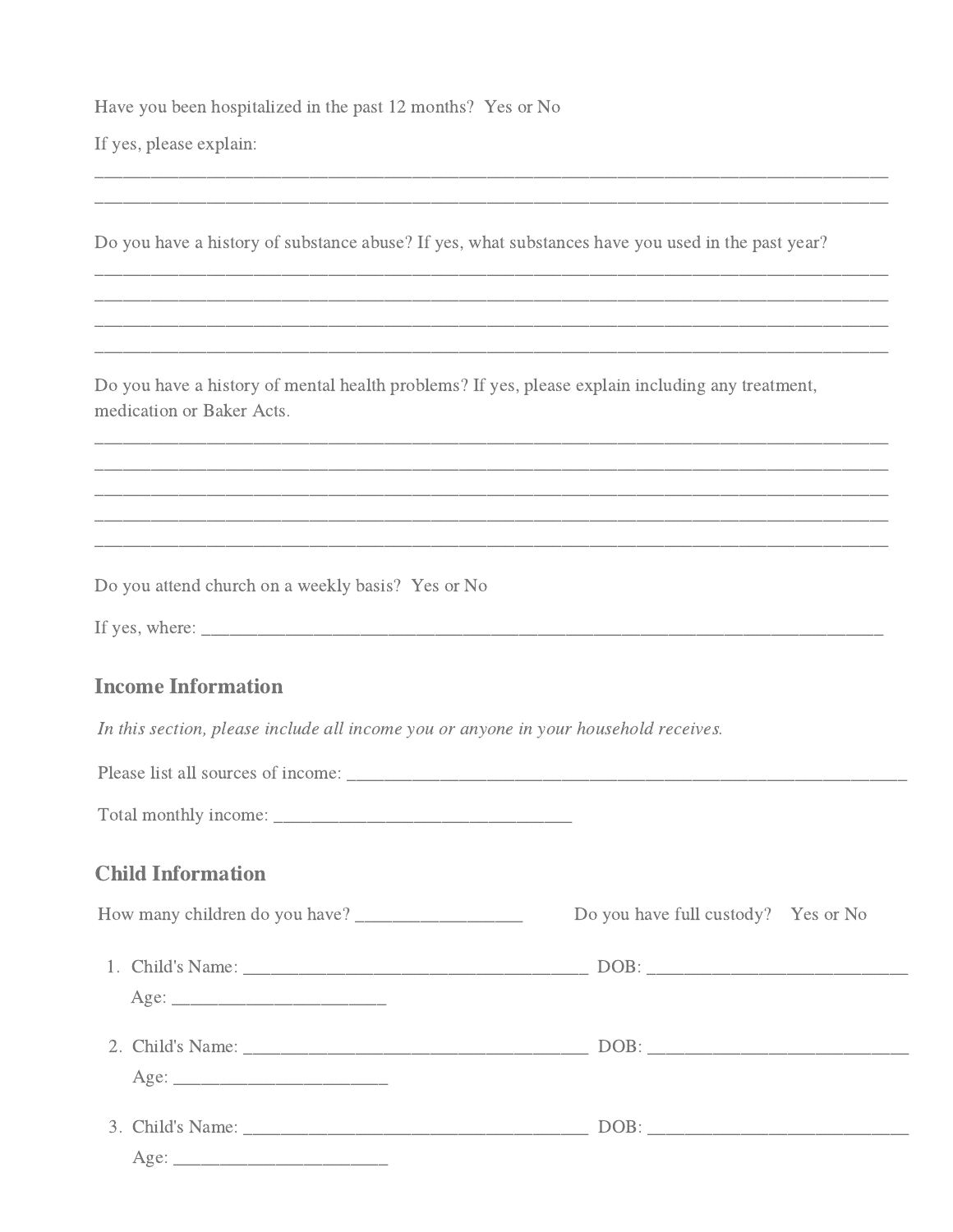Have you been hospitalized in the past 12 months? Yes or No

If yes, please explain:

Do you have a history of substance abuse? If yes, what substances have you used in the past year?

Do you have a history of mental health problems? If yes, please explain including any treatment, medication or Baker Acts.

Do you attend church on a weekly basis? Yes or No

| If yes, where:<br>________ |  |  |
|----------------------------|--|--|
|                            |  |  |

#### **Income Information**

In this section, please include all income you or anyone in your household receives.

| Please list all sources of income: |  |  |
|------------------------------------|--|--|
| Total monthly income:              |  |  |

#### **Child Information**

| Do you have full custody? Yes or No |
|-------------------------------------|
|                                     |
|                                     |
|                                     |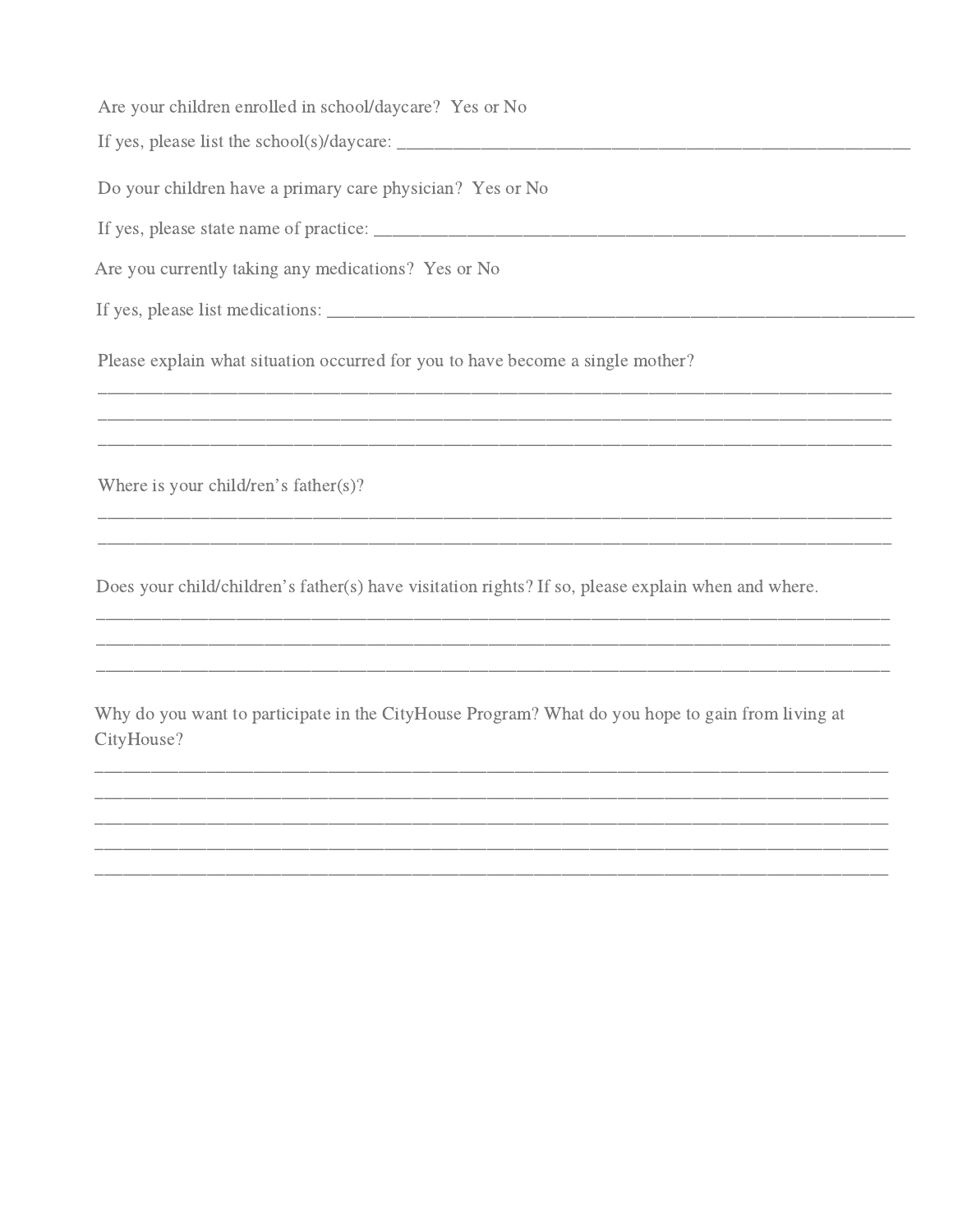Are your children enrolled in school/daycare? Yes or No

Do your children have a primary care physician? Yes or No

Are you currently taking any medications? Yes or No

Please explain what situation occurred for you to have become a single mother?

Where is your child/ren's father(s)?

Does your child/children's father(s) have visitation rights? If so, please explain when and where.

Why do you want to participate in the CityHouse Program? What do you hope to gain from living at CityHouse?